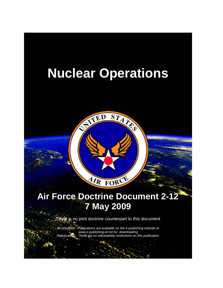



There is no joint doctrine counterpart to this document

*Accessibility: Publications are available on the e-publishing website at www.e-publishing.af.mil for downloading Releasability: There are no releasability restrictions on this publication*

*.*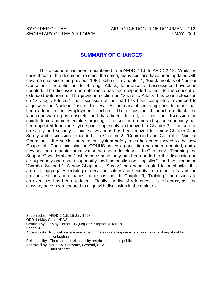BY ORDER OF THE AIR FORCE DOCTRINE DOCUMENT 2-12 SECRETARY OF THE AIR FORCE **7 MAY 2009** 

### **SUMMARY OF CHANGES**

This document has been renumbered from AFDD 2-1.5 to AFDD 2-12. While the basic thrust of the document remains the same, many sections have been updated with new material since the previous 1998 edition. In Chapter 1, "Fundamentals of Nuclear Operations," the definitions for Strategic Attack, deterrence, and assessment have been updated. The discussion on deterrence has been expanded to include the concept of extended deterrence. The previous section on "Strategic Attack" has been refocused on "Strategic Effects." The discussion of the triad has been completely revamped to align with the Nuclear Posture Review. A summary of targeting considerations has been added in the "Employment" section. The discussion of launch-on-attack and launch-on-warning is obsolete and has been deleted, as has the discussion on counterforce and countervalue targeting. The section on air and space superiority has been updated to include cyberspace superiority and moved to Chapter 3. The section on safety and security of nuclear weapons has been moved to a new Chapter 4 on Surety and discussion expanded. In Chapter 2, "Command and Control of Nuclear Operations," the section on weapon system safety rules has been moved to the new Chapter 4. The discussion on CONUS-based organization has been updated, and a new section on theater organization has been developed. In Chapter 3, "Planning and Support Considerations," cyberspace superiority has been added to the discussion on air superiority and space superiority, and the section on "Logistics" has been renamed "Combat Support." A new Chapter 4, "Surety," has been created to emphasize this area. It aggregates existing material on safety and security from other areas of the previous edition and expands the discussion. In Chapter 5, "Training," the discussion on exercises has been updated. Finally, the list of references, list of acronyms, and glossary have been updated to align with discussion in the main text.

Supersedes: AFDD 2-1.5, 15 July 1998 OPR: LeMay Center/DDS Certified by: LeMay Center/CC (Maj Gen Stephen J. Miller) Pages: 45 Accessibility: Publications are available on the e-publishing website at www.e-publishing.af.mil for downloading Releasability: There are no releasability restrictions on this publication Approved by: Norton A. Schwartz, General, USAF Chief of Staff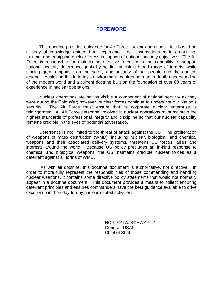## **FOREWORD**

This doctrine provides guidance for Air Force nuclear operations. It is based on a body of knowledge gained from experience and lessons learned in organizing, training, and equipping nuclear forces in support of national security objectives. The Air Force is responsible for maintaining effective forces with the capability to support national security deterrence goals by holding at risk a broad range of targets, while placing great emphasis on the safety and security of our people and the nuclear arsenal. Achieving this in today's environment requires both an in-depth understanding of the modern world and a current doctrine built on the foundation of over 60 years of experience in nuclear operations.

Nuclear operations are not as visible a component of national security as they were during the Cold War; however, nuclear forces continue to underwrite our Nation's security. The Air Force must ensure that its corporate nuclear enterprise is reinvigorated. All Air Force personnel involved in nuclear operations must maintain the highest standards of professional integrity and discipline so that our nuclear capability remains credible in the eyes of potential adversaries.

Deterrence is not limited to the threat of attack against the US. The proliferation of weapons of mass destruction (WMD), including nuclear, biological, and chemical weapons and their associated delivery systems, threatens US forces, allies and interests around the world. Because US policy precludes an in-kind response to chemical and biological weapons, the US maintains credible nuclear forces as a deterrent against all forms of WMD.

As with all doctrine, this doctrine document is authoritative, not directive. In order to more fully represent the responsibilities of those commanding and handling nuclear weapons, it contains some directive policy statements that would not normally appear in a doctrine document. This document provides a means to collect enduring deterrent principles and ensures commanders have the best guidance available to drive excellence in their day-to-day nuclear related activities.

> NORTON A. SCHWARTZ General, USAF Chief of Staff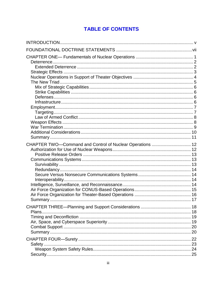# **TABLE OF CONTENTS**

| CHAPTER TWO-Command and Control of Nuclear Operations  12 |  |
|-----------------------------------------------------------|--|
| 22                                                        |  |
| Safety                                                    |  |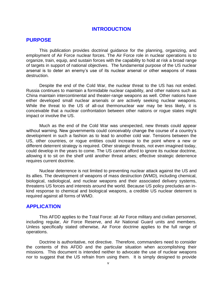#### <span id="page-5-0"></span>**INTRODUCTION**

#### **PURPOSE**

This publication provides doctrinal guidance for the planning, organizing, and employment of Air Force nuclear forces. The Air Force role in nuclear operations is to organize, train, equip, and sustain forces with the capability to hold at risk a broad range of targets in support of national objectives. The fundamental purpose of the US nuclear arsenal is to deter an enemy's use of its nuclear arsenal or other weapons of mass destruction.

Despite the end of the Cold War, the nuclear threat to the US has not ended. Russia continues to maintain a formidable nuclear capability, and other nations such as China maintain intercontinental and theater-range weapons as well. Other nations have either developed small nuclear arsenals or are actively seeking nuclear weapons. While the threat to the US of all-out thermonuclear war may be less likely, it is conceivable that a nuclear confrontation between other nations or rogue states might impact or involve the US.

Much as the end of the Cold War was unexpected, new threats could appear without warning. New governments could conceivably change the course of a country's development in such a fashion as to lead to another cold war. Tensions between the US, other countries, or rogue entities could increase to the point where a new or different deterrent strategy is required. Other strategic threats, not even imagined today, could develop in the years to come. The US cannot afford to ignore its nuclear doctrine, allowing it to sit on the shelf until another threat arises; effective strategic deterrence requires current doctrine.

Nuclear deterrence is not limited to preventing nuclear attack against the US and its allies. The development of weapons of mass destruction (WMD), including chemical, biological, radiological, and nuclear weapons and their associated delivery systems, threatens US forces and interests around the world. Because US policy precludes an inkind response to chemical and biological weapons, a credible US nuclear deterrent is required against all forms of WMD.

### **APPLICATION**

This AFDD applies to the Total Force: all Air Force military and civilian personnel, including regular, Air Force Reserve, and Air National Guard units and members. Unless specifically stated otherwise, Air Force doctrine applies to the full range of operations.

Doctrine is authoritative, not directive. Therefore, commanders need to consider the contents of this AFDD and the particular situation when accomplishing their missions. This document is intended neither to advocate the use of nuclear weapons nor to suggest that the US refrain from using them. It is simply designed to provide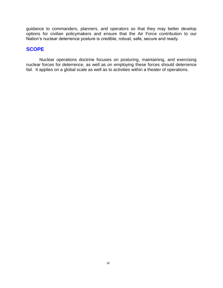guidance to commanders, planners, and operators so that they may better develop options for civilian policymakers and ensure that the Air Force contribution to our Nation's nuclear deterrence posture is credible, robust, safe, secure and ready.

# **SCOPE**

Nuclear operations doctrine focuses on posturing, maintaining, and exercising nuclear forces for deterrence, as well as on employing these forces should deterrence fail. It applies on a global scale as well as to activities within a theater of operations.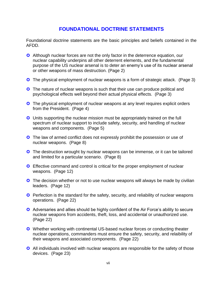# <span id="page-7-0"></span>**FOUNDATIONAL DOCTRINE STATEMENTS**

Foundational doctrine statements are the basic principles and beliefs contained in the AFDD.

- Although nuclear forces are not the only factor in the deterrence equation, our nuclear capability underpins all other deterrent elements, and the fundamental purpose of the US nuclear arsenal is to deter an enemy's use of its nuclear arsenal or other weapons of mass destruction. (Page 2)
- **C** The physical employment of nuclear weapons is a form of strategic attack. (Page 3)
- **C** The nature of nuclear weapons is such that their use can produce political and psychological effects well beyond their actual physical effects. (Page 3)
- **C** The physical employment of nuclear weapons at any level requires explicit orders from the President. (Page 4)
- **C** Units supporting the nuclear mission must be appropriately trained on the full spectrum of nuclear support to include safety, security, and handling of nuclear weapons and components. (Page 5)
- **C** The law of armed conflict does not expressly prohibit the possession or use of nuclear weapons. (Page 8)
- **C** The destruction wrought by nuclear weapons can be immense, or it can be tailored and limited for a particular scenario. (Page 8)
- **■** Effective command and control is critical for the proper employment of nuclear weapons. (Page 12)
- **C** The decision whether or not to use nuclear weapons will always be made by civilian leaders. (Page 12)
- **C** Perfection is the standard for the safety, security, and reliability of nuclear weapons operations. (Page 22)
- Adversaries and allies should be highly confident of the Air Force's ability to secure nuclear weapons from accidents, theft, loss, and accidental or unauthorized use. (Page 22)
- Whether working with continental US-based nuclear forces or conducting theater nuclear operations, commanders must ensure the safety, security, and relaibility of their weapons and associated components. (Page 22)
- All individuals involved with nuclear weapons are responsible for the safety of those devices. (Page 23)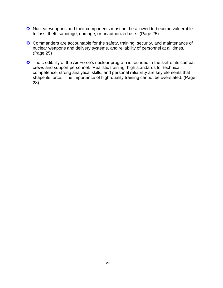- C Nuclear weapons and their components must not be allowed to become vulnerable to loss, theft, sabotage, damage, or unauthorized use. (Page 25)
- Commanders are accountable for the safety, training, security, and maintenance of nuclear weapons and delivery systems, and reliability of personnel at all times. (Page 25)
- The credibility of the Air Force's nuclear program is founded in the skill of its combat crews and support personnel. Realistic training, high standards for technical competence, strong analytical skills, and personal reliability are key elements that shape its force. The importance of high-quality training cannot be overstated. (Page 28)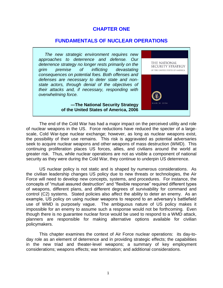### **CHAPTER ONE**

#### **FUNDAMENTALS OF NUCLEAR OPERATIONS**

 *The new strategic environment requires new approaches to deterrence and defense. Our deterrence strategy no longer rests primarily on the grim premise of inflicting devastating consequences on potential foes. Both offenses and defenses are necessary to deter state and nonstate actors, through denial of the objectives of their attacks and, if necessary, responding with overwhelming force.* 

> **―The National Security Strategy of the United States of America, 2006**

<span id="page-9-0"></span>

The end of the Cold War has had a major impact on the perceived utility and role of nuclear weapons in the US. Force reductions have reduced the specter of a largescale, Cold War-type nuclear exchange; however, as long as nuclear weapons exist, the possibility of their use remains. This risk is aggravated as potential adversaries seek to acquire nuclear weapons and other weapons of mass destruction (WMD). This continuing proliferation places US forces, allies, and civilians around the world at greater risk. Thus, while nuclear operations are not as visible a component of national security as they were during the Cold War, they continue to underpin US deterrence.

US nuclear policy is not static and is shaped by numerous considerations. As the civilian leadership changes US policy due to new threats or technologies, the Air Force will need to develop new concepts, systems, and procedures. For instance, the concepts of "mutual assured destruction" and "flexible response" required different types of weapons, different plans, and different degrees of survivability for command and control (C2) systems. Stated policies also affect the ability to deter an enemy. As an example, US policy on using nuclear weapons to respond to an adversary's battlefield use of WMD is purposely vague. The ambiguous nature of US policy makes it impossible for an enemy to assume such a response would not be forthcoming. Even though there is no guarantee nuclear force would be used to respond to a WMD attack, planners are responsible for making alternative options available for civilian policymakers.

This chapter examines the context of Air Force nuclear operations: its day-today role as an element of deterrence and in providing strategic effects; the capabilities in the new triad and theater-level weapons; a summary of key employment considerations; weapons effects; war termination; and additional considerations.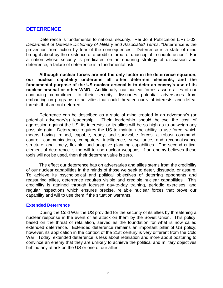#### <span id="page-10-0"></span>**DETERRENCE**

Deterrence is fundamental to national security. Per Joint Publication (JP) 1-02, *Department of Defense Dictionary of Military and Associated Terms*, "Deterrence is the prevention from action by fear of the consequences. Deterrence is a state of mind brought about by the existence of a credible threat of unacceptable counteraction." For a nation whose security is predicated on an enduring strategy of dissuasion and deterrence, a failure of deterrence is a fundamental risk.

**Although nuclear forces are not the only factor in the deterrence equation, our nuclear capability underpins all other deterrent elements, and the fundamental purpose of the US nuclear arsenal is to deter an enemy's use of its nuclear arsenal or other WMD.** Additionally, our nuclear forces assure allies of our continuing commitment to their security, dissuades potential adversaries from embarking on programs or activities that could threaten our vital interests, and defeat threats that are not deterred.

Deterrence can be described as a state of mind created in an adversary's (or potential adversary's) leadership. Their leadership should believe the cost of aggression against the US, its interests, or its allies will be so high as to outweigh any possible gain. Deterrence requires the US to maintain the ability to use force, which means having trained, capable, ready, and survivable forces; a robust command, control, communications, computers, intelligence, surveillance, and reconnaissance structure; and timely, flexible, and adaptive planning capabilities. The second critical element of deterrence is the will to use nuclear weapons. If an enemy believes these tools will not be used, then their deterrent value is zero.

The effect our deterrence has on adversaries and allies stems from the credibility of our nuclear capabilities in the minds of those we seek to deter, dissuade, or assure. To achieve its psychological and political objectives of deterring opponents and reassuring allies, deterrence requires visible and credible nuclear capabilities. This credibility is attained through focused day-to-day training, periodic exercises, and regular inspections which ensures precise, reliable nuclear forces that prove our capability and will to use them if the situation warrants.

#### <span id="page-10-1"></span>**Extended Deterrence**

 During the Cold War the US provided for the security of its allies by threatening a nuclear response in the event of an attack on them by the Soviet Union. This policy, based on the threat of retaliation, served as the foundation for what is now called extended deterrence. Extended deterrence remains an important pillar of US policy; however, its application in the context of the 21st century is very different from the Cold War. Today, extended deterrence is less about retaliation and more about posturing to convince an enemy that they are unlikely to achieve the political and military objectives behind any attack on the US or one of our allies.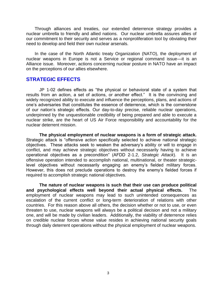Through alliances and treaties, our extended deterrence strategy provides a nuclear umbrella to friendly and allied nations. Our nuclear umbrella assures allies of our commitment to their security and serves as a nonproliferation tool by obviating their need to develop and field their own nuclear arsenals.

 In the case of the North Atlantic treaty Organization (NATO), the deployment of nuclear weapons in Europe is not a Service or regional command issue—it is an Alliance issue. Moreover, actions concerning nuclear posture in NATO have an impact on the perceptions of our allies elsewhere.

#### <span id="page-11-0"></span>**STRATEGIC EFFECTS**

JP 1-02 defines effects as "the physical or behavioral state of a system that results from an action, a set of actions, or another effect." It is the convincing and widely recognized ability to execute and influence the perceptions, plans, and actions of one's adversaries that constitutes the essence of deterrence, which is the cornerstone of our nation's strategic effects. Our day-to-day precise, reliable nuclear operations, underpinned by the unquestionable credibility of being prepared and able to execute a nuclear strike, are the heart of US Air Force responsibility and accountability for the nuclear deterrent mission.

**The physical employment of nuclear weapons is a form of strategic attack.** Strategic attack is "offensive action specifically selected to achieve national strategic objectives. These attacks seek to weaken the adversary's ability or will to engage in conflict, and may achieve strategic objectives without necessarily having to achieve operational objectives as a precondition" (AFDD 2-1.2, *Strategic Attack*). It is an offensive operation intended to accomplish national, multinational, or theater strategiclevel objectives without necessarily engaging an enemy's fielded military forces. However, this does not preclude operations to destroy the enemy's fielded forces if required to accomplish strategic national objectives.

**The nature of nuclear weapons is such that their use can produce political and psychological effects well beyond their actual physical effects.** The employment of nuclear weapons may lead to such unintended consequences as escalation of the current conflict or long-term deterioration of relations with other countries. For this reason above all others, the decision whether or not to use, or even threaten to use, nuclear weapons will always be a political decision and not a military one, and will be made by civilian leaders. Additionally, the viability of deterrence relies on credible nuclear forces whose value resides in achieving national security goals through daily deterrent operations without the physical employment of nuclear weapons.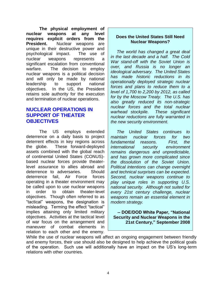**The physical employment of nuclear weapons at any level requires explicit orders from the President.** Nuclear weapons are unique in their destructive power and psychological impact. The use of nuclear weapons represents a significant escalation from conventional warfare. The decision to employ nuclear weapons is a political decision and will only be made by national leadership to support national objectives. In the US, the President retains sole authority for the execution and termination of nuclear operations.

# **NUCLEAR OPERATIONS IN SUPPORT OF THEATER OBJECTIVES**

<span id="page-12-0"></span>The US employs extended deterrence on a daily basis to project deterrent effects in key regions across the globe. These forward-deployed assets combined with the global reach of continental United States (CONUS) based nuclear forces provide theaterlevel assurance to allies abroad and deterrence to adversaries. Should deterrence fail, Air Force forces operating in a theater environment may be called upon to use nuclear weapons in order to obtain theater-level objectives. Though often referred to as "tactical" weapons, the designation is misleading. Terming the effect "tactical" implies attaining only limited military objectives. Activities at the tactical level of war focus on the arrangement and maneuver of combat elements in relation to each other and the enemy.

#### **Does the United States Still Need Nuclear Weapons?**

 *The world has changed a great deal in the last decade and a half. The Cold War stand-off with the Soviet Union is over, and Russia is no longer an ideological adversary. The United States has made historic reductions in its operationally deployed strategic nuclear forces and plans to reduce them to a level of 1,700 to 2,200 by 2012, as called for by the Moscow Treaty. The U.S. has also greatly reduced its non-strategic nuclear forces and the total nuclear warhead stockpile. These significant nuclear reductions are fully warranted in the new security environment.*

 *The United States continues to maintain nuclear forces for two fundamental reasons. First, the international security environment remains dangerous and unpredictable, and has grown more complicated since the dissolution of the Soviet Union. Political intentions can change overnight and technical surprises can be expected. Second, nuclear weapons continue to play unique roles in supporting U.S. national security. Although not suited for every 21st century challenge, nuclear weapons remain an essential element in modern strategy.*

**-- DOE/DOD White Paper, "National Security and Nuclear Weapons in the 21st Century," September 2008**

While the use of nuclear weapons will affect an ongoing engagement between friendly and enemy forces, their use should also be designed to help achieve the political goals of the operation. Such use will additionally have an impact on the US's long-term relations with other countries.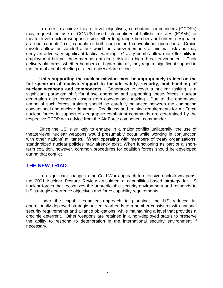In order to achieve theater-level objectives, combatant commanders (CCDRs) may request the use of CONUS-based intercontinental ballistic missiles (ICBMs) or theater-level nuclear weapons using either long-range bombers or fighters designated as "dual-capable;" i.e., capable of both nuclear and conventional operations. Cruise missiles allow for standoff attack which puts crew members at minimal risk and may deny an adversary significant tactical warning. Gravity bombs allow more flexibility in employment but put crew members at direct risk in a high-threat environment. Their delivery platforms, whether bombers or fighter aircraft, may require significant support in the form of aerial refueling or electronic warfare escort.

**Units supporting the nuclear mission must be appropriately trained on the full spectrum of nuclear support to include safety, security, and handling of nuclear weapons and components.** Generation to cover a nuclear tasking is a significant paradigm shift for those operating and supporting these forces; nuclear generation also removes assets from conventional tasking. Due to the operational tempo of such forces, training should be carefully balanced between the competing conventional and nuclear demands. Readiness and training requirements for Air Force nuclear forces in support of geographic combatant commands are determined by the respective CCDR with advice from the Air Force component commander.

Since the US is unlikely to engage in a major conflict unilaterally, the use of theater-level nuclear weapons would presumably occur while working in conjunction with other nations' militaries. When operating with members of treaty organizations, standardized nuclear policies may already exist. When functioning as part of a shortterm coalition, however, common procedures for coalition forces should be developed during that conflict.

### <span id="page-13-0"></span>**THE NEW TRIAD**

In a significant change to the Cold War approach to offensive nuclear weapons, the 2001 Nuclear Posture Review articulated a capabilities-based strategy for US nuclear forces that recognizes the unpredictable security environment and responds to US strategic deterrence objectives and force capability requirements.

Under the capabilities-based approach to planning, the US reduced its operationally deployed strategic nuclear warheads to a number consistent with national security requirements and alliance obligations, while maintaining a level that provides a credible deterrent. Other weapons are retained in a non-deployed status to preserve the ability to respond to deterioration in the international security environment if necessary.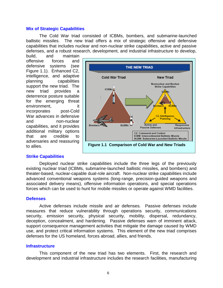#### **Mix of Strategic Capabilities**

The Cold War triad consisted of ICBMs, bombers, and submarine-launched ballistic missiles. The new triad offers a mix of strategic offensive and defensive capabilities that includes nuclear and non-nuclear strike capabilities, active and passive defenses, and a robust research, development, and industrial infrastructure to develop,

build, and maintain offensive forces and defensive systems (see Figure 1.1). Enhanced C2, intelligence, and adaptive planning capabilities support the new triad. The new triad provides a deterrence posture suitable for the emerging threat environment, it incorporates post-Cold War advances in defensive and non-nuclear capabilities, and it provides additional military options that are credible to adversaries and reassuring to allies.

<span id="page-14-0"></span>

#### <span id="page-14-1"></span>**Strike Capabilities**

Deployed nuclear strike capabilities include the three legs of the previously existing nuclear triad (ICBMs, submarine-launched ballistic missiles, and bombers) and theater-based, nuclear-capable dual-role aircraft. Non-nuclear strike capabilities include advanced conventional weapons systems (long-range, precision-guided weapons and associated delivery means), offensive information operations, and special operations forces which can be used to hunt for mobile missiles or operate against WMD facilities.

#### <span id="page-14-2"></span>**Defenses**

Active defenses include missile and air defenses. Passive defenses include measures that reduce vulnerability through operations security, communications security, emission security, physical security, mobility, dispersal, redundancy, deception, concealment, and hardening. Passive defenses warn of imminent attack, support consequence management activities that mitigate the damage caused by WMD use, and protect critical information systems. This element of the new triad comprises defenses for the US homeland, forces abroad, allies, and friends.

#### <span id="page-14-3"></span>**Infrastructure**

This component of the new triad has two elements. First, the research and development and industrial infrastructure includes the research facilities, manufacturing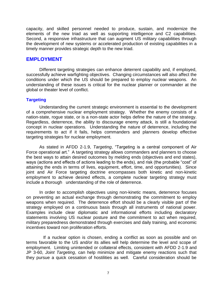capacity, and skilled personnel needed to produce, sustain, and modernize the elements of the new triad as well as supporting intelligence and C2 capabilities. Second, a responsive infrastructure that can augment US military capabilities through the development of new systems or accelerated production of existing capabilities in a timely manner provides strategic depth to the new triad.

#### <span id="page-15-0"></span>**EMPLOYMENT**

Different targeting strategies can enhance deterrent capability and, if employed, successfully achieve warfighting objectives. Changing circumstances will also affect the conditions under which the US should be prepared to employ nuclear weapons. An understanding of these issues is critical for the nuclear planner or commander at the global or theater level of conflict.

#### <span id="page-15-1"></span>**Targeting**

Understanding the current strategic environment is essential to the development of a comprehensive nuclear employment strategy. Whether the enemy consists of a nation-state, rogue state, or is a non-state actor helps define the nature of the strategy. Regardless, deterrence, the ability to discourage enemy attack, is still a foundational concept in nuclear operations. Understanding the nature of deterrence, including the requirements to act if it fails, helps commanders and planners develop effective targeting strategies for nuclear employment.

As stated in AFDD 2-1.9, *Targeting*, "Targeting is a central component of Air Force operational art." A targeting strategy allows commanders and planners to choose the best ways to attain desired outcomes by melding ends (objectives and end states), ways (actions and effects of actions leading to the ends), and risk (the probable "cost" of attaining the ends in terms of lives, equipment, effort, time, and opportunities). Since joint and Air Force targeting doctrine encompasses both kinetic and non-kinetic employment to achieve desired effects, a complete nuclear targeting strategy must include a thorough understanding of the role of deterrence.

In order to accomplish objectives using non-kinetic means, deterrence focuses on preventing an actual exchange through demonstrating the commitment to employ weapons when required. The deterrence effort should be a clearly visible part of the strategy employed on a continuous basis through all instruments of national power. Examples include clear diplomatic and informational efforts including declaratory statements involving US nuclear posture and the commitment to act when required, military preparedness demonstrated through exercises and daily training, and economic incentives toward non proliferation efforts.

 If a nuclear option is chosen, ending a conflict as soon as possible and on terms favorable to the US and/or its allies will help determine the level and scope of employment. Limiting unintended or collateral effects, consistent with AFDD 2-1.9 and JP 3-60, *Joint Targeting*, can help minimize and mitigate enemy reactions such that they pursue a quick cessation of hostilities as well. Careful consideration should be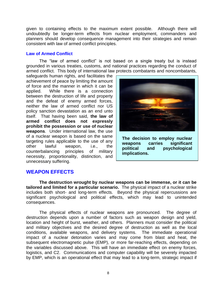given to containing effects to the maximum extent possible. Although there will undoubtedly be longer-term effects from nuclear employment, commanders and planners should develop consequence management into their strategies and remain consistent with law of armed conflict principles.

#### <span id="page-16-0"></span>**Law of Armed Conflict**

The "law of armed conflict" is not based on a single treaty but is instead grounded in various treaties, customs, and national practices regarding the conduct of armed conflict. This body of international law protects combatants and noncombatants,

safeguards human rights, and facilitates the achievement of peace by limiting the amount of force and the manner in which it can be applied. While there is a connection between the destruction of life and property and the defeat of enemy armed forces, neither the law of armed conflict nor US policy sanction devastation as an end unto itself. That having been said, **the law of armed conflict does not expressly prohibit the possession or use of nuclear weapons**. Under international law, the use of a nuclear weapon is based on the same targeting rules applicable to the use of any other lawful weapon, i.e., the counterbalancing principles of military necessity, proportionality, distinction, and unnecessary suffering.



**The decision to employ nuclear weapons carries significant political and psychological implications.**

# <span id="page-16-1"></span>**WEAPON EFFECTS**

**The destruction wrought by nuclear weapons can be immense, or it can be tailored and limited for a particular scenario.** The physical impact of a nuclear strike includes both short- and long-term effects. Beyond the physical repercussions are merated been directed and political effects, which may lead to unintended significant psychological and political effects, which may lead to unintended consequences.  $p_1$ , which hay idea to dimitorial

The physical effects of nuclear weapons are pronounced. The degree of destruction depends upon a number of factors such as weapon design and yield, location and height of burst, weather, and others. Planners must consider the political and military objectives and the desired degree of destruction as well as the local conditions, available weapons, and delivery systems. The immediate operational impact of a nuclear detonation varies and may come from blast and heat, the subsequent electromagnetic pulse (EMP), or more far-reaching effects, depending on the variables discussed above. This will have an immediate effect on enemy forces, logistics, and C2. Communications and computer capability will be severely impacted by EMP, which is an operational effect that may lead to a long-term, strategic impact if Force forces (COMAFFOR) who is also is are pronounced. The degree brings with it an immense power of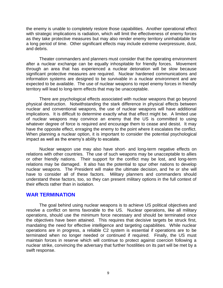the enemy is unable to completely restore those capabilities. Another operational effect with strategic implications is radiation, which will limit the effectiveness of enemy forces as they take protective measures but may also render enemy territory uninhabitable for a long period of time. Other significant effects may include extreme overpressure, dust, and debris.

Theater commanders and planners must consider that the operating environment after a nuclear exchange can be equally inhospitable for friendly forces. Movement through an area that has experienced a nuclear detonation will be slow because significant protective measures are required. Nuclear hardened communications and information systems are designed to be survivable in a nuclear environment and are expected to be available. The use of nuclear weapons to repel enemy forces in friendly territory will lead to long-term effects that may be unacceptable.

There are psychological effects associated with nuclear weapons that go beyond physical destruction. Notwithstanding the stark difference in physical effects between nuclear and conventional weapons, the use of nuclear weapons will have additional implications. It is difficult to determine exactly what that effect might be. A limited use of nuclear weapons may convince an enemy that the US is committed to using whatever degree of force is required and encourage them to cease and desist. It may have the opposite effect, enraging the enemy to the point where it escalates the conflict. When planning a nuclear option, it is important to consider the potential psychological impact as well as the enemy's ability to escalate.

Nuclear weapon use may also have short- and long-term negative effects on relations with other countries. The use of such weapons may be unacceptable to allies or other friendly nations. Their support for the conflict may be lost, and long-term relations may be damaged. It also has the potential to spur other nations to develop nuclear weapons. The President will make the ultimate decision, and he or she will have to consider all of these factors. Military planners and commanders should understand these factors, too, so they can present military options in the full context of their effects rather than in isolation.

### <span id="page-17-0"></span>**WAR TERMINATION**

The goal behind using nuclear weapons is to achieve US political objectives and resolve a conflict on terms favorable to the US. Nuclear operations, like all military operations, should use the minimum force necessary and should be terminated once the objectives have been attained. This requires that decisive targets be struck first, mandating the need for effective intelligence and targeting capabilities. While nuclear operations are in progress, a reliable C2 system is essential if operations are to be terminated when no longer needed or continued if required. Finally, the US must maintain forces in reserve which will continue to protect against coercion following a nuclear strike, convincing the adversary that further hostilities on its part will be met by a swift response.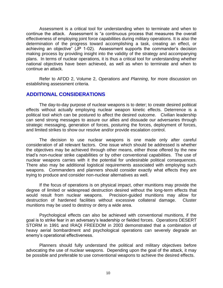Assessment is a critical tool for understanding when to terminate and when to continue the attack. Assessment is "a continuous process that measures the overall effectiveness of employing joint force capabilities during military operations. It is also the determination of the progress toward accomplishing a task, creating an effect, or achieving an objective" (JP 1-02). Assessment supports the commander's decision making process by providing insight into the validity of the strategy and accompanying plans. In terms of nuclear operations, it is thus a critical tool for understanding whether national objectives have been achieved, as well as when to terminate and when to continue an attack.

Refer to AFDD 2, Volume 2, *Operations and Planning*, for more discussion on establishing assessment criteria.

# <span id="page-18-0"></span>**ADDITIONAL CONSIDERATIONS**

The day-to-day purpose of nuclear weapons is to deter; to create desired political effects without actually employing nuclear weapon kinetic effects. Deterrence is a political tool which can be postured to affect the desired outcome. Civilian leadership can send strong messages to assure our allies and dissuade our adversaries through strategic messaging, generation of forces, posturing the forces, deployment of forces, and limited strikes to show our resolve and/or provide escalation control.

The decision to use nuclear weapons is one made only after careful consideration of all relevant factors. One issue which should be addressed is whether the objectives may be achieved through other means, either those offered by the new triad's non-nuclear strike capabilities or by other conventional capabilities. The use of nuclear weapons carries with it the potential for undesirable political consequences. There also may be additional logistical requirements associated with employing such weapons. Commanders and planners should consider exactly what effects they are trying to produce and consider non-nuclear alternatives as well.

If the focus of operations is on physical impact, other munitions may provide the degree of limited or widespread destruction desired without the long-term effects that would result from nuclear weapons. Precision-guided munitions may allow for destruction of hardened facilities without excessive collateral damage. Cluster munitions may be used to destroy or deny a wide area.

Psychological effects can also be achieved with conventional munitions, if the goal is to strike fear in an adversary's leadership or fielded forces. Operations DESERT STORM in 1991 and IRAQI FREEDOM in 2003 demonstrated that a combination of heavy aerial bombardment and psychological operations can severely degrade an enemy's operational effectiveness.

Planners should fully understand the political and military objectives before advocating the use of nuclear weapons. Depending upon the goal of the attack, it may be possible and preferable to use conventional weapons to achieve the desired effects.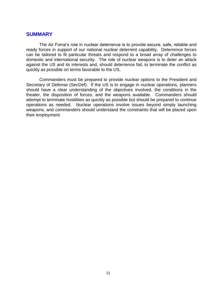### <span id="page-19-0"></span>**SUMMARY**

The Air Force's role in nuclear deterrence is to provide secure, safe, reliable and ready forces in support of our national nuclear deterrent capability. Deterrence forces can be tailored to fit particular threats and respond to a broad array of challenges to domestic and international security. The role of nuclear weapons is to deter an attack against the US and its interests and, should deterrence fail, to terminate the conflict as quickly as possible on terms favorable to the US.

Commanders must be prepared to provide nuclear options to the President and Secretary of Defense (SecDef). If the US is to engage in nuclear operations, planners should have a clear understanding of the objectives involved, the conditions in the theater, the disposition of forces, and the weapons available. Commanders should attempt to terminate hostilities as quickly as possible but should be prepared to continue operations as needed. Nuclear operations involve issues beyond simply launching weapons, and commanders should understand the constraints that will be placed upon their employment.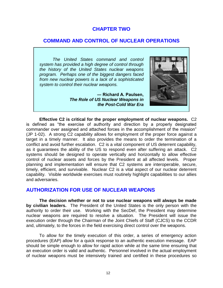### **CHAPTER TWO**

### **COMMAND AND CONTROL OF NUCLEAR OPERATIONS**

*The United States command and control system has provided a high degree of control through the history of the United States nuclear weapons program. Perhaps one of the biggest dangers faced from new nuclear powers is a lack of a sophisticated system to control their nuclear weapons.* 

> <span id="page-20-1"></span>**― Richard A. Paulsen,** *The Role of US Nuclear Weapons in the Post-Cold War Era*

<span id="page-20-0"></span>

**Effective C2 is critical for the proper employment of nuclear weapons.** C2 is defined as "the exercise of authority and direction by a properly designated commander over assigned and attached forces in the accomplishment of the mission" (JP 1-02). A strong C2 capability allows for employment of the proper force against a target in a timely manner. It also provides the means to order the termination of a conflict and avoid further escalation. C2 is a vital component of US deterrent capability, as it guarantees the ability of the US to respond even after suffering an attack. C2 systems should be designed to operate vertically and horizontally to allow effective control of nuclear assets and forces by the President at all affected levels. Proper planning and implementation will ensure that C2 systems are interoperable, secure, timely, efficient, and survivable. Nuclear C2 is a vital aspect of our nuclear deterrent capability. Visible worldwide exercises must routinely highlight capabilities to our allies and adversaries.

# **AUTHORIZATION FOR USE OF NUCLEAR WEAPONS**

**The decision whether or not to use nuclear weapons will always be made by civilian leaders.** The President of the United States is the only person with the authority to order their use. Working with the SecDef, the President may determine nuclear weapons are required to resolve a situation. The President will issue the execution order through the Chairman of the Joint Chiefs of Staff (CJCS) to the CCDR and, ultimately, to the forces in the field exercising direct control over the weapons.

To allow for the timely execution of this order, a series of emergency action procedures (EAP) allow for a quick response to an authentic execution message. EAP should be simple enough to allow for rapid action while at the same time ensuring that an execution order is valid and authentic. Personnel involved in the actual employment of nuclear weapons must be intensively trained and certified in these procedures so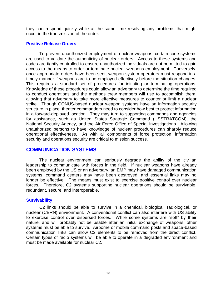they can respond quickly while at the same time resolving any problems that might occur in the transmission of the order.

#### <span id="page-21-0"></span>**Positive Release Orders**

To prevent unauthorized employment of nuclear weapons, certain code systems are used to validate the authenticity of nuclear orders. Access to these systems and codes are tightly controlled to ensure unauthorized individuals are not permitted to gain access to the means to order or terminate nuclear weapons employment. Conversely, once appropriate orders have been sent, weapon system operators must respond in a timely manner if weapons are to be employed effectively before the situation changes. This requires a standard set of procedures for initiating or terminating operations. Knowledge of these procedures could allow an adversary to determine the time required to conduct operations and the methods crew members will use to accomplish them, allowing that adversary to take more effective measures to counter or limit a nuclear strike. Though CONUS-based nuclear weapon systems have an information security structure in place, theater commanders need to consider how best to protect information in a forward-deployed location. They may turn to supporting commands and agencies for assistance, such as United States Strategic Command (USSTRATCOM), the National Security Agency, and the Air Force Office of Special Investigations. Allowing unauthorized persons to have knowledge of nuclear procedures can sharply reduce operational effectiveness. As with all components of force protection, information security and operations security are critical to mission success.

### <span id="page-21-1"></span>**COMMUNICATION SYSTEMS**

The nuclear environment can seriously degrade the ability of the civilian leadership to communicate with forces in the field. If nuclear weapons have already been employed by the US or an adversary, an EMP may have damaged communication systems, command centers may have been destroyed, and essential links may no longer be effective. The means must exist to exercise positive control over nuclear forces. Therefore, C2 systems supporting nuclear operations should be survivable, redundant, secure, and interoperable.

#### <span id="page-21-2"></span>**Survivability**

C2 links should be able to survive in a chemical, biological, radiological, or nuclear (CBRN) environment. A conventional conflict can also interfere with US ability to exercise control over dispersed forces. While some systems are "soft" by their nature, and will probably not be usable after an initial exchange of weapons, other systems must be able to survive. Airborne or mobile command posts and space-based communication links can allow C2 elements to be removed from the direct conflict. Certain types of radio systems will be able to operate in a degraded environment and must be made available for nuclear C2.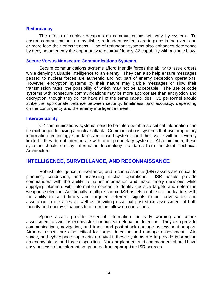#### <span id="page-22-0"></span>**Redundancy**

The effects of nuclear weapons on communications will vary by system. To ensure communications are available, redundant systems are in place in the event one or more lose their effectiveness. Use of redundant systems also enhances deterrence by denying an enemy the opportunity to destroy friendly C2 capability with a single blow.

#### <span id="page-22-1"></span>**Secure Versus Nonsecure Communications Systems**

Secure communications systems afford friendly forces the ability to issue orders while denying valuable intelligence to an enemy. They can also help ensure messages passed to nuclear forces are authentic and not part of enemy deception operations. However, encryption systems by their nature may garble messages or slow their transmission rates, the possibility of which may not be acceptable. The use of code systems with nonsecure communications may be more appropriate than encryption and decryption, though they do not have all of the same capabilities. C2 personnel should strike the appropriate balance between security, timeliness, and accuracy, depending on the contingency and the enemy intelligence threat.

#### <span id="page-22-2"></span>**Interoperability**

C2 communications systems need to be interoperable so critical information can be exchanged following a nuclear attack. Communications systems that use proprietary information technology standards are closed systems, and their value will be severely limited if they do not interoperate with other proprietary systems. At a minimum, these systems should employ information technology standards from the Joint Technical Architecture.

#### <span id="page-22-3"></span>**INTELLIGENCE, SURVEILLANCE, AND RECONNAISSANCE**

Robust intelligence, surveillance, and reconnaissance (ISR) assets are critical to planning, conducting, and assessing nuclear operations. ISR assets provide commanders with the ability to gather information and make timely decisions while supplying planners with information needed to identify decisive targets and determine weapons selection. Additionally, multiple source ISR assets enable civilian leaders with the ability to send timely and targeted deterrent signals to our adversaries and assurance to our allies as well as providing essential post-strike assessment of both friendly and enemy situations to determine follow-on operations.

Space assets provide essential information for early warning and attack assessment, as well as enemy strike or nuclear detonation detection. They also provide communications, navigation, and trans- and post-attack damage assessment support. Airborne assets are also critical for target detection and damage assessment. Air, space, and cyberspace superiority are vital if these systems are to provide information on enemy status and force disposition. Nuclear planners and commanders should have easy access to the information gathered from appropriate ISR sources.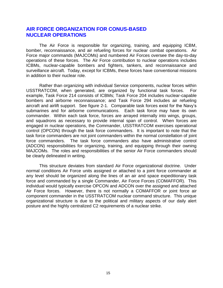# <span id="page-23-0"></span>**AIR FORCE ORGANIZATION FOR CONUS-BASED NUCLEAR OPERATIONS**

The Air Force is responsible for organizing, training, and equipping ICBM, bomber, reconnaissance, and air refueling forces for nuclear combat operations. Air Force major commands (MAJCOMs) and numbered Air Forces oversee the day-to-day operations of these forces. The Air Force contribution to nuclear operations includes ICBMs, nuclear-capable bombers and fighters, tankers, and reconnaissance and surveillance aircraft. Today, except for ICBMs, these forces have conventional missions in addition to their nuclear role.

Rather than organizing with individual Service components, nuclear forces within USSTRATCOM, when generated, are organized by functional task forces. For example, Task Force 214 consists of ICBMs; Task Force 204 includes nuclear-capable bombers and airborne reconnaissance; and Task Force 294 includes air refueling aircraft and airlift support. See figure 2-1. Comparable task forces exist for the Navy's submarines and for airborne communications. Each task force may have its own commander. Within each task force, forces are arrayed internally into wings, groups, and squadrons as necessary to provide internal span of control. When forces are engaged in nuclear operations, the Commander, USSTRATCOM exercises operational control (OPCON) through the task force commanders. It is important to note that the task force commanders are not joint commanders within the normal constellation of joint force commanders. The task force commanders also have administrative control (ADCON) responsibilities for organizing, training, and equipping through their owning MAJCOMs. The roles and responsibilities of the senior Air Force commanders should be clearly delineated in writing.

This structure deviates from standard Air Force organizational doctrine. Under normal conditions Air Force units assigned or attached to a joint force commander at any level should be organized along the lines of an air and space expeditionary task force and commanded by a single Commander, Air Force Forces (COMAFFOR). This individual would typically exercise OPCON and ADCON over the assigned and attached Air Force forces. However, there is not normally a COMAFFOR or joint force air component commander in the USSTRATCOM nuclear command structure. This unique organizational structure is due to the political and military aspects of our daily alert posture and the highly centralized C2 requirements of a nuclear strike.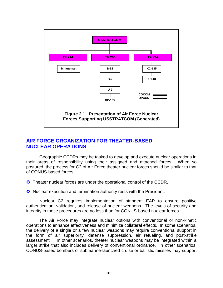

# <span id="page-24-0"></span>**AIR FORCE ORGANIZATION FOR THEATER-BASED NUCLEAR OPERATIONS**

Geographic CCDRs may be tasked to develop and execute nuclear operations in their areas of responsibility using their assigned and attached forces. When so postured, the process for C2 of Air Force theater nuclear forces should be similar to that of CONUS-based forces:

**C** Theater nuclear forces are under the operational control of the CCDR.

O Nuclear execution and termination authority rests with the President.

Nuclear C2 requires implementation of stringent EAP to ensure positive authentication, validation, and release of nuclear weapons. The levels of security and integrity in these procedures are no less than for CONUS-based nuclear forces.

The Air Force may integrate nuclear options with conventional or non-kinetic operations to enhance effectiveness and minimize collateral effects. In some scenarios, the delivery of a single or a few nuclear weapons may require conventional support in the form of air superiority, defense suppression, air refueling, and post-strike assessment. In other scenarios, theater nuclear weapons may be integrated within a larger strike that also includes delivery of conventional ordnance. In other scenarios, CONUS-based bombers or submarine-launched cruise or ballistic missiles may support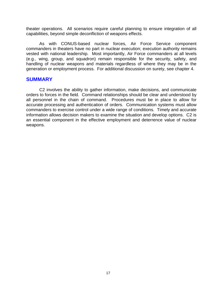theater operations. All scenarios require careful planning to ensure integration of all capabilities, beyond simple deconfliction of weapons effects.

As with CONUS-based nuclear forces, Air Force Service component commanders in theaters have no part in nuclear execution; execution authority remains vested with national leadership. Most importantly, Air Force commanders at all levels (e.g., wing, group, and squadron) remain responsible for the security, safety, and handling of nuclear weapons and materials regardless of where they may be in the generation or employment process. For additional discussion on surety, see chapter 4.

#### <span id="page-25-0"></span>**SUMMARY**

C2 involves the ability to gather information, make decisions, and communicate orders to forces in the field. Command relationships should be clear and understood by all personnel in the chain of command. Procedures must be in place to allow for accurate processing and authentication of orders. Communication systems must allow commanders to exercise control under a wide range of conditions. Timely and accurate information allows decision makers to examine the situation and develop options. C2 is an essential component in the effective employment and deterrence value of nuclear weapons.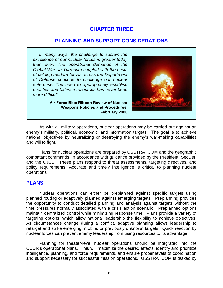# **CHAPTER THREE**

# **PLANNING AND SUPPORT CONSIDERATIONS**

 *In many ways, the challenge to sustain the excellence of our nuclear forces is greater today than ever. The operational demands of the Global War on Terrorism coupled with the costs of fielding modern forces across the Department of Defense continue to challenge our nuclear enterprise. The need to appropriately establish priorities and balance resources has never been more difficult.*

<span id="page-26-0"></span>

**―Air Force Blue Ribbon Review of Nuclear Weapons Policies and Procedures, February 2008**

As with all military operations, nuclear operations may be carried out against an enemy's military, political, economic, and information targets. The goal is to achieve national objectives by neutralizing or destroying the enemy's war-making capabilities and will to fight.

Plans for nuclear operations are prepared by USSTRATCOM and the geographic combatant commands, in accordance with guidance provided by the President, SecDef, and the CJCS. These plans respond to threat assessments, targeting directives, and policy requirements. Accurate and timely intelligence is critical to planning nuclear operations.

### <span id="page-26-1"></span>**PLANS**

Nuclear operations can either be preplanned against specific targets using planned routing or adaptively planned against emerging targets. Preplanning provides the opportunity to conduct detailed planning and analysis against targets without the time pressures normally associated with a crisis action scenario. Preplanned options maintain centralized control while minimizing response time. Plans provide a variety of targeting options, which allow national leadership the flexibility to achieve objectives. As circumstances change during a conflict, adaptive planning allows leadership to retarget and strike emerging, mobile, or previously unknown targets. Quick reaction by nuclear forces can prevent enemy leadership from using resources to its advantage.

Planning for theater-level nuclear operations should be integrated into the CCDR's operational plans. This will maximize the desired effects, identify and prioritize intelligence, planning, and force requirements, and ensure proper levels of coordination and support necessary for successful mission operations. USSTRATCOM is tasked by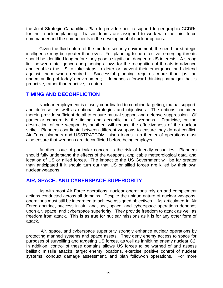the Joint Strategic Capabilities Plan to provide specific support to geographic CCDRs for their nuclear planning. Liaison teams are assigned to work with the joint force commander and the components in the development of nuclear options.

Given the fluid nature of the modern security environment, the need for strategic intelligence may be greater than ever. For planning to be effective, emerging threats should be identified long before they pose a significant danger to US interests. A strong link between intelligence and planning allows for the recognition of threats in advance and enables the US to take steps to deter or prevent their emergence and defend against them when required. Successful planning requires more than just an understanding of today's environment; it demands a forward-thinking paradigm that is proactive, rather than reactive, in nature.

# <span id="page-27-0"></span>**TIMING AND DECONFLICTION**

Nuclear employment is closely coordinated to combine targeting, mutual support, and defense, as well as national strategies and objectives. The options contained therein provide sufficient detail to ensure mutual support and defense suppression. Of particular concern is the timing and deconfliction of weapons. Fratricide, or the destruction of one weapon by another, will reduce the effectiveness of the nuclear strike. Planners coordinate between different weapons to ensure they do not conflict. Air Force planners and USSTRATCOM liaison teams in a theater of operations must also ensure that weapons are deconflicted before being employed.

Another issue of particular concern is the risk of friendly casualties. Planners should fully understand the effects of the weapons, applicable meteorological data, and location of US or allied forces. The impact to the US Government will be far greater than anticipated if it should turn out that US or allied forces are killed by their own nuclear weapons.

# <span id="page-27-1"></span>**AIR, SPACE, AND CYBERSPACE SUPERIORITY**

As with most Air Force operations, nuclear operations rely on and complement actions conducted across all domains. Despite the unique nature of nuclear weapons, operations must still be integrated to achieve assigned objectives. As articulated in Air Force doctrine, success in air, land, sea, space, and cyberspace operations depends upon air, space, and cyberspace superiority. They provide freedom to attack as well as freedom from attack. This is as true for nuclear missions as it is for any other form of attack.

 Air, space, and cyberspace superiority strongly enhance nuclear operations by protecting manned systems and space assets. They deny enemy access to space for purposes of surveilling and targeting US forces, as well as inhibiting enemy nuclear C2. In addition, control of these domains allows US forces to be warned of and assess ballistic missile attacks, target enemy locations, exercise positive control of nuclear systems, conduct damage assessment, and plan follow-on operations. For more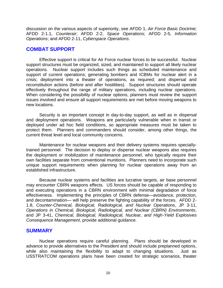discussion on the various aspects of superiority, see AFDD 1, *Air Force Basic Doctrine*; AFDD 2-1.1, *Counterair*; AFDD 2-2, *Space Operations*; AFDD 2-5, *Information Operations*; and AFDD 2-11, *Cyberspace Operations*.

# <span id="page-28-0"></span>**COMBAT SUPPORT**

Effective support is critical for Air Force nuclear forces to be successful. Nuclear support structures must be organized, sized, and maintained to support all likely nuclear operations. Nuclear support includes such things as scheduled maintenance and support of current operations; generating bombers and ICBMs for nuclear alert in a crisis; deployment into a theater of operations, as required; and dispersal and reconstitution actions (before and after hostilities). Support structures should operate effectively throughout the range of military operations, including nuclear operations. When considering the possibility of nuclear options, planners must review the support issues involved and ensure all support requirements are met before moving weapons to new locations.

Security is an important concept in day-to-day support, as well as in dispersal and deployment operations. Weapons are particularly vulnerable when in transit or deployed under ad hoc field conditions, so appropriate measures must be taken to protect them. Planners and commanders should consider, among other things, the current threat level and local community concerns.

Maintenance for nuclear weapons and their delivery systems requires speciallytrained personnel. The decision to deploy or disperse nuclear weapons also requires the deployment or mobilization of maintenance personnel, who typically require their own facilities separate from conventional munitions. Planners need to incorporate such unique support requirements when planning for nuclear operations away from an established infrastructure.

Because nuclear systems and facilities are lucrative targets, air base personnel may encounter CBRN weapons effects. US forces should be capable of responding to and executing operations in a CBRN environment with minimal degradation of force effectiveness. Implementing the principles of CBRN defense—avoidance, protection, and decontamination— will help preserve the fighting capability of the forces. AFDD 2- 1.8, *Counter-Chemical, Biological, Radiological, and Nuclear Operations*, JP 3-11, *Operations in Chemical, Biological, Radiological, and Nuclear (CBRN) Environments*, and JP 3-41, *Chemical, Biological, Radiological, Nuclear, and High-Yield Explosives Consequence Management*, provide additional guidance.

### <span id="page-28-1"></span>**SUMMARY**

Nuclear operations require careful planning. Plans should be developed in advance to provide alternatives to the President and should include preplanned options, while also maintaining the flexibility to adapt to changing situations. Just as USSTRATCOM operations plans have been created for strategic scenarios, theater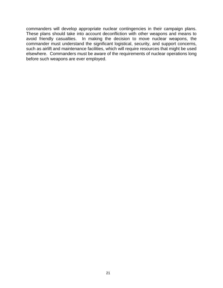commanders will develop appropriate nuclear contingencies in their campaign plans. These plans should take into account deconfliction with other weapons and means to avoid friendly casualties. In making the decision to move nuclear weapons, the commander must understand the significant logistical, security, and support concerns, such as airlift and maintenance facilities, which will require resources that might be used elsewhere. Commanders must be aware of the requirements of nuclear operations long before such weapons are ever employed.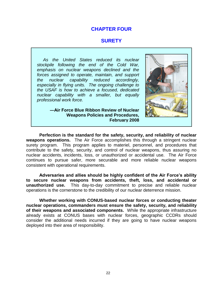### **CHAPTER FOUR**

#### <span id="page-30-0"></span>**SURETY**

*As the United States reduced its nuclear stockpile following the end of the Cold War, emphasis on nuclear weapons declined and the forces assigned to operate, maintain, and support the nuclear capability reduced accordingly, especially in flying units. The ongoing challenge to the USAF is how to achieve a focused, dedicated nuclear capability with a smaller, but equally professional work force.*



**―Air Force Blue Ribbon Review of Nuclear Weapons Policies and Procedures, February 2008**

**Perfection is the standard for the safety, security, and reliability of nuclear weapons operations.** The Air Force accomplishes this through a stringent nuclear surety program. This program applies to materiel, personnel, and procedures that contribute to the safety, security, and control of nuclear weapons, thus assuring no nuclear accidents, incidents, loss, or unauthorized or accidental use. The Air Force continues to pursue safer, more securable and more reliable nuclear weapons consistent with operational requirements.

**Adversaries and allies should be highly confident of the Air Force's ability to secure nuclear weapons from accidents, theft, loss, and accidental or unauthorized use.** This day-to-day commitment to precise and reliable nuclear operations is the cornerstone to the credibility of our nuclear deterrence mission.

**Whether working with CONUS-based nuclear forces or conducting theater nuclear operations, commanders must ensure the safety, security, and reliability of their weapons and associated components.** While the appropriate infrastructure already exists at CONUS bases with nuclear forces, geographic CCDRs should consider the additional needs incurred if they are going to have nuclear weapons deployed into their area of responsibility.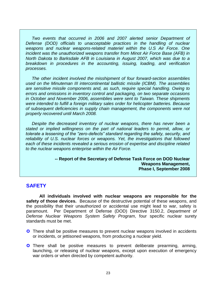*Two events that occurred in 2006 and 2007 alerted senior Department of Defense (DOD)* officials to unacceptable practices in the handling of nuclear *weapons and nuclear weapons-related materiel within the U.S Air Force. One incident was the unauthorized weapons transfer from Minot Air Force Base (AFB) in North Dakota to Barksdale AFB in Louisiana in August 2007, which was due to a breakdown in procedures in the accounting, issuing, loading, and verification processes.*

 *The other incident involved the misshipment of four forward-section assemblies used on the Minuteman III intercontinental ballistic missile (ICBM). The assemblies are sensitive missile components and, as such, require special handling. Owing to errors and omissions in inventory control and packaging, on two separate occasions in October and November 2006, assemblies were sent to Taiwan. These shipments were intended to fulfill a foreign military sales order for helicopter batteries. Because of subsequent deficiencies in supply chain management, the components were not properly recovered until March 2008.*

 *Despite the decreased inventory of nuclear weapons, there has never been a stated or implied willingness on the part of national leaders to permit, allow, or tolerate a lessening of the "zero-defects" standard regarding the safety, security, and reliability of U.S. nuclear forces or weapons. Yet, the investigations that followed each of these incidents revealed a serious erosion of expertise and discipline related to the nuclear weapons enterprise within the Air Force.*

> **-- Report of the Secretary of Defense Task Force on DOD Nuclear Weapons Management, Phase I, September 2008**

### <span id="page-31-0"></span>**SAFETY**

**All individuals involved with nuclear weapons are responsible for the safety of those devices.** Because of the destructive potential of these weapons, and the possibility that their unauthorized or accidental use might lead to war, safety is paramount. Per Department of Defense (DOD) Directive 3150.2, *Department of Defense Nuclear Weapons System Safety Program*, four specific nuclear surety standards must be met.

- **C** There shall be positive measures to prevent nuclear weapons involved in accidents or incidents, or jettisoned weapons, from producing a nuclear yield.
- **C** There shall be positive measures to prevent deliberate prearming, arming, launching, or releasing of nuclear weapons, except upon execution of emergency war orders or when directed by competent authority.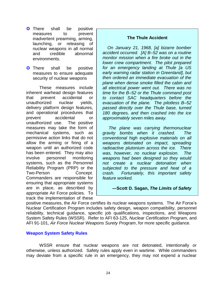- **C** There shall be positive measures to prevent inadvertent prearming, arming, launching, or releasing of nuclear weapons in all normal and credible abnormal environments.
- **C** There shall be positive measures to ensure adequate security of nuclear weapons

These measures include inherent warhead design features that prevent accidental or unauthorized nuclear yields, delivery platform design features, and operational procedures that prevent accidental or unauthorized use. The positive measures may take the form of mechanical systems, such as permissive action links that do not allow the arming or firing of a weapon until an authorized code has been entered. They may also involve personnel monitoring systems, such as the Personnel Reliability Program (PRP) or the Two-Person Concept. Commanders are responsible for ensuring that appropriate systems are in place, as described by appropriate Air Force policies. To track the implementation of these

#### **The Thule Accident**

 *On January 21, 1968, [a] bizarre bomber accident occurred. [A] B–52 was on a routine monitor mission when a fire broke out in the lower crew compartment. The pilot prepared for an emergency landing at Thule [a US early warning radar station in Greenland], but then ordered an immediate evacuation of the plane when dense smoke filled the cabin and all electrical power went out. There was no time for the B–52 or the Thule command post to contact SAC headquarters before the evacuation of the plane. The pilotless B–52 passed directly over the Thule base, turned 180 degrees, and then crashed into the ice approximately seven miles away.*

 *The plane was carrying thermonuclear gravity bombs when it crashed. The conventional high explosive materials on all weapons detonated on impact, spreading radioactive plutonium across the ice. There was, however, no nuclear explosion. The weapons had been designed so they would not create a nuclear detonation when subjected to the pressure and heat of a crash. Fortunately, this important safety feature worked.*

<span id="page-32-0"></span>**―Scott D. Sagan,** *The Limits of Safety*

positive measures, the Air Force certifies its nuclear weapons systems. The Air Force's Nuclear Certification Program includes safety design, weapon compatibility, personnel reliability, technical guidance, specific job qualifications, inspections, and Weapons System Safety Rules (WSSR). Refer to AFI 63-125, *Nuclear Certification Program*, and AFI 91-101, *Air Force Nuclear Weapons Surety Program*, for more specific guidance.

### **Weapon System Safety Rules**

WSSR ensure that nuclear weapons are not detonated, intentionally or otherwise, unless authorized. Safety rules apply even in wartime. While commanders may deviate from a specific rule in an emergency, they may not expend a nuclear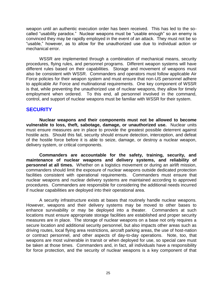weapon until an authentic execution order has been received. This has led to the socalled "usability paradox." Nuclear weapons must be "usable enough" so an enemy is convinced they may be rapidly employed in the event of an attack. They must not be so "usable," however, as to allow for the unauthorized use due to individual action or mechanical error.

WSSR are implemented through a combination of mechanical means, security procedures, flying rules, and personnel programs. Different weapon systems will have different rules based on their capabilities. Storage and movement of weapons must also be consistent with WSSR. Commanders and operators must follow applicable Air Force policies for their weapon system and must ensure that non-US personnel adhere to applicable Air Force and multinational requirements. One key component of WSSR is that, while preventing the unauthorized use of nuclear weapons, they allow for timely employment when ordered. To this end, all personnel involved in the command, control, and support of nuclear weapons must be familiar with WSSR for their system.

# <span id="page-33-0"></span>**SECURITY**

**Nuclear weapons and their components must not be allowed to become vulnerable to loss, theft, sabotage, damage, or unauthorized use.** Nuclear units must ensure measures are in place to provide the greatest possible deterrent against hostile acts. Should this fail, security should ensure detection, interception, and defeat of the hostile force before it is able to seize, damage, or destroy a nuclear weapon, delivery system, or critical components.

**Commanders are accountable for the safety, training, security, and maintenance of nuclear weapons and delivery systems, and reliability of personnel at all times.** Whether on a logistics movement or during an airlift mission, commanders should limit the exposure of nuclear weapons outside dedicated protection facilities consistent with operational requirements. Commanders must ensure that nuclear weapons and nuclear delivery systems are maintained according to approved procedures. Commanders are responsible for considering the additional needs incurred if nuclear capabilities are deployed into their operational area.

A security infrastructure exists at bases that routinely handle nuclear weapons. However, weapons and their delivery systems may be moved to other bases to enhance survivability or may be deployed into a theater. Commanders at such locations must ensure appropriate storage facilities are established and proper security measures are in place. The storage of nuclear weapons on a base not only requires a secure location and additional security personnel, but also impacts other areas such as driving routes, local flying area restrictions, aircraft parking areas, the use of host-nation or contract personnel, and other aspects of day-to-day operations. Note, too, that weapons are most vulnerable in transit or when deployed for use, so special care must be taken at those times. Commanders and, in fact, all individuals have a responsibility for force protection, and the security of nuclear weapons is a key component of that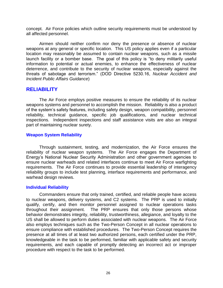concept. Air Force policies which outline security requirements must be understood by all affected personnel.

Airmen should neither confirm nor deny the presence or absence of nuclear weapons at any general or specific location. This US policy applies even if a particular location may reasonably be assumed to contain nuclear weapons, such as a missile launch facility or a bomber base. The goal of this policy is "to deny militarily useful information to potential or actual enemies, to enhance the effectiveness of nuclear deterrence, and contribute to the security of nuclear weapons, especially against the threats of sabotage and terrorism." (DOD Directive 5230.16, *Nuclear Accident and Incident Public Affairs Guidance*)

# <span id="page-34-0"></span>**RELIABILITY**

The Air Force employs positive measures to ensure the reliability of its nuclear weapons systems and personnel to accomplish the mission. Reliability is also a product of the system's safety features, including safety design, weapon compatibility, personnel reliability, technical guidance, specific job qualifications, and nuclear technical inspections. Independent inspections and staff assistance visits are also an integral part of maintaining nuclear surety.

#### <span id="page-34-1"></span>**Weapon System Reliability**

Through sustainment, testing, and modernization, the Air Force ensures the reliability of nuclear weapon systems. The Air Force engages the Department of Energy's National Nuclear Security Administration and other government agencies to ensure nuclear warheads and related interfaces continue to meet Air Force warfighting requirements. The Air Force continues to provide essential leadership of interagency reliability groups to include test planning, interface requirements and performance, and warhead design reviews.

#### <span id="page-34-2"></span>**Individual Reliability**

Commanders ensure that only trained, certified, and reliable people have access to nuclear weapons, delivery systems, and C2 systems. The PRP is used to initially qualify, certify, and then monitor personnel assigned to nuclear operations tasks throughout their assignment. The PRP ensures that only those persons whose behavior demonstrates integrity, reliability, trustworthiness, allegiance, and loyalty to the US shall be allowed to perform duties associated with nuclear weapons. The Air Force also employs techniques such as the Two-Person Concept in all nuclear operations to ensure compliance with established procedures. The Two-Person Concept requires the presence at all times of at least two authorized persons, each certified under the PRP, knowledgeable in the task to be performed, familiar with applicable safety and security requirements, and each capable of promptly detecting an incorrect act or improper procedure with respect to the task to be performed.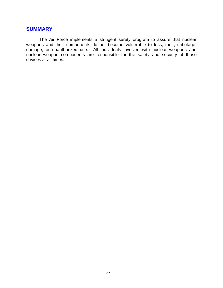# <span id="page-35-0"></span>**SUMMARY**

The Air Force implements a stringent surety program to assure that nuclear weapons and their components do not become vulnerable to loss, theft, sabotage, damage, or unauthorized use. All individuals involved with nuclear weapons and nuclear weapon components are responsible for the safety and security of those devices at all times.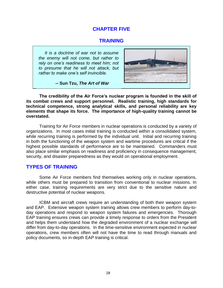# **CHAPTER FIVE**

# **TRAINING**

 *It is a doctrine of war not to assume the enemy will not come, but rather to rely on one's readiness to meet him; not to presume that he will not attack, but rather to make one's self invincible*.

<span id="page-36-0"></span>

 **-- Sun Tzu,** *The Art of War*

**The credibility of the Air Force's nuclear program is founded in the skill of its combat crews and support personnel. Realistic training, high standards for technical competence, strong analytical skills, and personal reliability are key elements that shape its force. The importance of high-quality training cannot be overstated.**

Training for Air Force members in nuclear operations is conducted by a variety of organizations. In most cases initial training is conducted within a consolidated system, while recurring training is performed by the individual unit. Initial and recurring training in both the functioning of the weapon system and wartime procedures are critical if the highest possible standards of performance are to be maintained. Commanders must also place similar emphasis on readiness and proficiency in consequence management, security, and disaster preparedness as they would on operational employment.

# <span id="page-36-1"></span>**TYPES OF TRAINING**

Some Air Force members find themselves working only in nuclear operations, while others must be prepared to transition from conventional to nuclear missions. In either case, training requirements are very strict due to the sensitive nature and destructive potential of nuclear weapons.

ICBM and aircraft crews require an understanding of both their weapon system and EAP. Extensive weapon system training allows crew members to perform day-today operations and respond to weapon system failures and emergencies. Thorough EAP training ensures crews can provide a timely response to orders from the President and helps them understand how the degraded environment of a nuclear exchange will differ from day-to-day operations. In the time-sensitive environment expected in nuclear operations, crew members often will not have the time to read through manuals and policy documents, so in-depth EAP training is critical.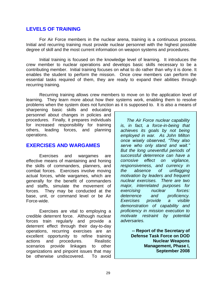### <span id="page-37-0"></span>**LEVELS OF TRAINING**

For Air Force members in the nuclear arena, training is a continuous process. Initial and recurring training must provide nuclear personnel with the highest possible degree of skill and the most current information on weapon systems and procedures.

Initial training is focused on the knowledge level of learning. It introduces the crew member to nuclear operations and develops basic skills necessary to be a contributing member. Initial training focuses on what to do rather than why it is done. It enables the student to perform the mission. Once crew members can perform the essential tasks required of them, they are ready to expand their abilities through recurring training.

Recurring training allows crew members to move on to the application level of learning. They learn more about how their systems work, enabling them to resolve problems when the system does not function as it is supposed to. It is also a means of

sharpening basic skills and educating personnel about changes in policies and procedures. Finally, it prepares individuals for increased responsibility for training others, leading forces, and planning operations.

# **EXERCISES AND WARGAMES**

Exercises and wargames are effective means of maintaining and honing the skills of commanders, planners, and combat forces. Exercises involve moving actual forces, while wargames, which are generally for the benefit of commanders and staffs, simulate the movement of forces. They may be conducted at the base, unit, or command level or be Air Force-wide.

Exercises are vital to employing a credible deterrent force. Although nuclear forces train regularly and provide a deterrent effect through their day-to-day operations, recurring exercises are an excellent opportunity to refine training actions and procedures. Realistic scenarios provide linkages to other organizations and pinpoint issues that may be otherwise undiscovered. To avoid

<span id="page-37-1"></span> *The Air Force nuclear capability is, in fact, a force-in-being that achieves its goals by not being employed in war. As John Milton once wisely observed, "They also serve who only stand and wait." But the long uneventful periods of successful deterrence can have a corrosive effect on vigilance, responsiveness, and currency in the absence of unflagging motivation by leaders and frequent nuclear exercises. There are two major, interrelated purposes for exercising nuclear forces: deterrence and proficiency. Exercises provide a visible demonstration of capability and proficiency in mission execution to motivate restraint by potential adversaries.*

> **-- Report of the Secretary of Defense Task Force on DOD Nuclear Weapons Management, Phase I, September 2008**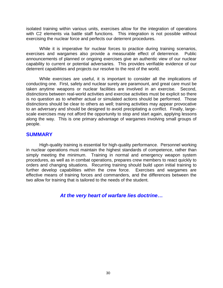isolated training within various units, exercises allow for the integration of operations with C2 elements via battle staff functions. This integration is not possible without exercising the nuclear force and perfects our deterrent procedures.

While it is imperative for nuclear forces to practice during training scenarios, exercises and wargames also provide a measurable effect of deterrence. Public announcements of planned or ongoing exercises give an authentic view of our nuclear capability to current or potential adversaries. This provides verifiable evidence of our deterrent capabilities and projects our resolve to the rest of the world.

While exercises are useful, it is important to consider all the implications of conducting one. First, safety and nuclear surety are paramount, and great care must be taken anytime weapons or nuclear facilities are involved in an exercise. Second, distinctions between real-world activities and exercise activities must be explicit so there is no question as to whether actual or simulated actions should be performed. Those distinctions should be clear to others as well; training activities may appear provocative to an adversary and should be designed to avoid precipitating a conflict. Finally, largescale exercises may not afford the opportunity to stop and start again, applying lessons along the way. This is one primary advantage of wargames involving small groups of people.

# <span id="page-38-0"></span>**SUMMARY**

High-quality training is essential for high-quality performance. Personnel working in nuclear operations must maintain the highest standards of competence, rather than simply meeting the minimum. Training in normal and emergency weapon system procedures, as well as in combat operations, prepares crew members to react quickly to orders and changing situations. Recurring training should build upon initial training to further develop capabilities within the crew force. Exercises and wargames are effective means of training forces and commanders, and the differences between the two allow for training that is tailored to the needs of the student.

*At the very heart of warfare lies doctrine***…**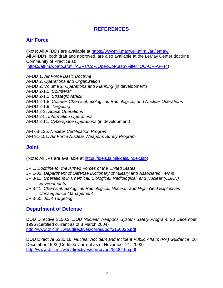# <span id="page-39-0"></span>**REFERENCES**

# **Air Force**

(Note: All AFDDs are available at [https://wwwmil.maxwell.af.mil/au/lemay/.](https://wwwmil.maxwell.af.mil/au/lemay/) All AFDDs, both draft and approved, are also available at the LeMay Center doctrine Community of Practice at:

[https://afkm.wpafb.af.mil/ASPs/CoP/OpenCoP.asp?Filter=OO-OP-AF-44\)](https://afkm.wpafb.af.mil/ASPs/CoP/OpenCoP.asp?Filter=OO-OP-AF-44)

AFDD 1, *Air Force Basic Doctrine* AFDD 2, *Operations and Organization* AFDD 2, Volume 2, *Operations and Planning* (in development) AFDD 2-1.1, *Counterair* AFDD 2-1.2, *Strategic Attack* AFDD 2-1.8, *Counter-Chemical, Biological, Radiological, and Nuclear Operations* AFDD 2-1.9, *Targeting* AFDD 2-2, *Space Operations* AFDD 2-5, *Information Operations* AFDD 2-11, *Cyberspace Operations* (in development)

AFI 63-125, *Nuclear Certification Program* AFI 91-101, *Air Force Nuclear Weapons Surety Program*

# **Joint**

(Note: All JPs are available at [https://jdeis.js.mil/jdeis/index.jsp\)](https://jdeis.js.mil/jdeis/index.jsp)

- JP 1, *Doctrine for the Armed Forces of the United States*
- JP 1-02, *Department of Defense Dictionary of Military and Associated Terms*
- JP 3-11, *Operations in Chemical, Biological, Radiological, and Nuclear (CBRN) Environments*
- JP 3-41, *Chemical, Biological, Radiological, Nuclear, and High-Yield Explosives Consequence Management*
- JP 3-60, *Joint Targeting*

# **Department of Defense**

DOD Directive 3150.2, *DOD Nuclear Weapons System Safety Program*, 23 December 1996 (certified current as of 8 March 2004) <http://www.dtic.mil/whs/directives/corres/pdf/315002p.pdf>

DOD Directive 5230.16, *Nuclear Accident and Incident Public Affairs (PA) Guidance*, 20 December 1993 (Certified Current as of November 21, 2003) <http://www.dtic.mil/whs/directives/corres/pdf/523016p.pdf>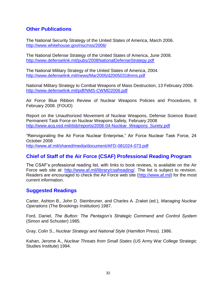# **Other Publications**

The National Security Strategy of the United States of America, March 2006. <http://www.whitehouse.gov/nsc/nss/2006/>

The National Defense Strategy of the United States of America, June 2008. <http://www.defenselink.mil/pubs/2008NationalDefenseStrategy.pdf>

The National Military Strategy of the United States of America, 2004. <http://www.defenselink.mil/news/Mar2005/d20050318nms.pdf>

National Military Strategy to Combat Weapons of Mass Destruction, 13 February 2006. <http://www.defenselink.mil/pdf/NMS-CWMD2006.pdf>

Air Force Blue Ribbon Review of Nuclear Weapons Policies and Procedures, 8 February 2008. (FOUO)

Report on the Unauthorized Movement of Nuclear Weapons, Defense Science Board Permanent Task Force on Nuclear Weapons Safety, February 2008 [http://www.acq.osd.mil/dsb/reports/2008-04-Nuclear\\_Weapons\\_Surety.pdf](http://www.acq.osd.mil/dsb/reports/2008-04-Nuclear_Weapons_Surety.pdf)

"Reinvigorating the Air Force Nuclear Enterprise," Air Force Nuclear Task Force, 24 October 2008 <http://www.af.mil/shared/media/document/AFD-081024-073.pdf>

# **Chief of Staff of the Air Force (CSAF) Professional Reading Program**

The CSAF's professional reading list, with links to book reviews, is available on the Air Force web site at: http://www.af.mil/library/csafreading/. The list is subject to revision. Readers are encouraged to check the Air Force web site [\(http://www.af.mil\)](http://www.af.mil/) for the most current information.

# **Suggested Readings**

Carter, Ashton B., John D. Steinbruner, and Charles A. Zraket (ed.), *Managing Nuclear Operations* (The Brookings Institution) 1987.

Ford, Daniel, *The Button: The Pentagon's Strategic Command and Control System* (Simon and Schuster) 1985.

Gray, Colin S., *Nuclear Strategy and National Style* (Hamilton Press). 1986.

Kahan, Jerome A., *Nuclear Threats from Small States* (US Army War College Strategic Studies Institute) 1994.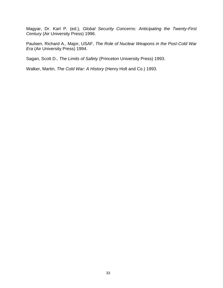Magyar, Dr. Karl P. (ed.), *Global Security Concerns: Anticipating the Twenty-First Century* (Air University Press) 1996.

Paulsen, Richard A., Major, USAF, *The Role of Nuclear Weapons in the Post-Cold War Era* (Air University Press) 1994.

Sagan, Scott D., *The Limits of Safety* (Princeton University Press) 1993.

Walker, Martin, *The Cold War: A History* (Henry Holt and Co.) 1993.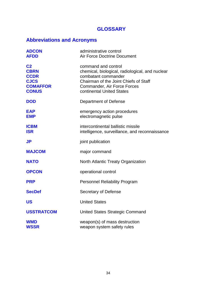# <span id="page-42-0"></span>**GLOSSARY**

# **Abbreviations and Acronyms**

| <b>ADCON</b><br><b>AFDD</b>                                                                    | administrative control<br><b>Air Force Doctrine Document</b>                                                                                                                                       |
|------------------------------------------------------------------------------------------------|----------------------------------------------------------------------------------------------------------------------------------------------------------------------------------------------------|
| C <sub>2</sub><br><b>CBRN</b><br><b>CCDR</b><br><b>CJCS</b><br><b>COMAFFOR</b><br><b>CONUS</b> | command and control<br>chemical, biological, radiological, and nuclear<br>combatant commander<br>Chairman of the Joint Chiefs of Staff<br>Commander, Air Force Forces<br>continental United States |
| <b>DOD</b>                                                                                     | Department of Defense                                                                                                                                                                              |
| <b>EAP</b><br><b>EMP</b>                                                                       | emergency action procedures<br>electromagnetic pulse                                                                                                                                               |
| <b>ICBM</b><br><b>ISR</b>                                                                      | intercontinental ballistic missile<br>intelligence, surveillance, and reconnaissance                                                                                                               |
| <b>JP</b>                                                                                      | joint publication                                                                                                                                                                                  |
| <b>MAJCOM</b>                                                                                  | major command                                                                                                                                                                                      |
| <b>NATO</b>                                                                                    | North Atlantic Treaty Organization                                                                                                                                                                 |
| <b>OPCON</b>                                                                                   | operational control                                                                                                                                                                                |
| <b>PRP</b>                                                                                     | <b>Personnel Reliability Program</b>                                                                                                                                                               |
| <b>SecDef</b>                                                                                  | Secretary of Defense                                                                                                                                                                               |
| <b>US</b>                                                                                      | <b>United States</b>                                                                                                                                                                               |
| <b>USSTRATCOM</b>                                                                              | United States Strategic Command                                                                                                                                                                    |
| <b>WMD</b><br><b>WSSR</b>                                                                      | weapon(s) of mass destruction<br>weapon system safety rules                                                                                                                                        |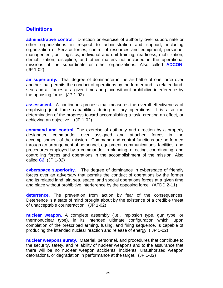# **Definitions**

**administrative control.** Direction or exercise of authority over subordinate or other organizations in respect to administration and support, including organization of Service forces, control of resources and equipment, personnel management, unit logistics, individual and unit training, readiness, mobilization, demobilization, discipline, and other matters not included in the operational missions of the subordinate or other organizations. Also called **ADCON**. (JP 1-02)

**air superiority.** That degree of dominance in the air battle of one force over another that permits the conduct of operations by the former and its related land, sea, and air forces at a given time and place without prohibitive interference by the opposing force. (JP 1-02)

**assessment.** A continuous process that measures the overall effectiveness of employing joint force capabilities during military operations. It is also the determination of the progress toward accomplishing a task, creating an effect, or achieving an objective. (JP 1-02)

**command and control.** The exercise of authority and direction by a properly designated commander over assigned and attached forces in the accomplishment of the mission. Command and control functions are performed through an arrangement of personnel, equipment, communications, facilities, and procedures employed by a commander in planning, directing, coordinating, and controlling forces and operations in the accomplishment of the mission. Also called **C2**. (JP 1-02)

**cyberspace superiority.** The degree of dominance in cyberspace of friendly forces over an adversary that permits the conduct of operations by the former and its related land, air, sea, space, and special operations forces at a given time and place without prohibitive interference by the opposing force. (AFDD 2-11)

**deterrence.** The prevention from action by fear of the consequences. Deterrence is a state of mind brought about by the existence of a credible threat of unacceptable counteraction. (JP 1-02)

**nuclear weapon.** A complete assembly (i.e., implosion type, gun type, or thermonuclear type), in its intended ultimate configuration which, upon completion of the prescribed arming, fusing, and firing sequence, is capable of producing the intended nuclear reaction and release of energy. ( JP 1-02)

**nuclear weapons surety.** Materiel, personnel, and procedures that contribute to the security, safety, and reliability of nuclear weapons and to the assurance that there will be no nuclear weapon accidents, incidents, unauthorized weapon detonations, or degradation in performance at the target. (JP 1-02)